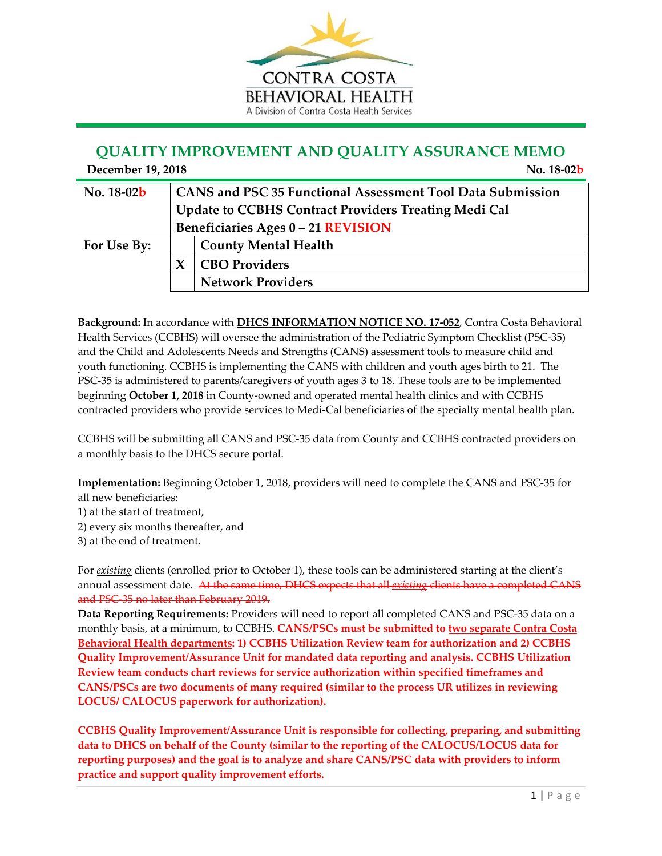

## **QUALITY IMPROVEMENT AND QUALITY ASSURANCE MEMO**

| December 19, 2018<br>No. 18-02 <b>b</b> |  |                                                                                                                                                               |  |
|-----------------------------------------|--|---------------------------------------------------------------------------------------------------------------------------------------------------------------|--|
| No. 18-02b                              |  | CANS and PSC 35 Functional Assessment Tool Data Submission<br><b>Update to CCBHS Contract Providers Treating Medi Cal</b><br>Beneficiaries Ages 0-21 REVISION |  |
|                                         |  |                                                                                                                                                               |  |
| For Use By:                             |  | <b>County Mental Health</b>                                                                                                                                   |  |
|                                         |  | <b>CBO Providers</b>                                                                                                                                          |  |
|                                         |  | <b>Network Providers</b>                                                                                                                                      |  |

**Background:** In accordance with **DHCS INFORMATION NOTICE NO. 17‐052**, Contra Costa Behavioral Health Services (CCBHS) will oversee the administration of the Pediatric Symptom Checklist (PSC‐35) and the Child and Adolescents Needs and Strengths (CANS) assessment tools to measure child and youth functioning. CCBHS is implementing the CANS with children and youth ages birth to 21. The PSC‐35 is administered to parents/caregivers of youth ages 3 to 18. These tools are to be implemented beginning **October 1, 2018** in County‐owned and operated mental health clinics and with CCBHS contracted providers who provide services to Medi‐Cal beneficiaries of the specialty mental health plan.

CCBHS will be submitting all CANS and PSC‐35 data from County and CCBHS contracted providers on a monthly basis to the DHCS secure portal.

**Implementation:** Beginning October 1, 2018, providers will need to complete the CANS and PSC‐35 for all new beneficiaries:

- 1) at the start of treatment,
- 2) every six months thereafter, and
- 3) at the end of treatment.

For *existing* clients (enrolled prior to October 1), these tools can be administered starting at the client's annual assessment date. At the same time, DHCS expects that all *existing* clients have a completed CANS and PSC‐35 no later than February 2019.

**Data Reporting Requirements:** Providers will need to report all completed CANS and PSC‐35 data on a monthly basis, at a minimum, to CCBHS. **CANS/PSCs must be submitted to two separate Contra Costa Behavioral Health departments: 1) CCBHS Utilization Review team for authorization and 2) CCBHS Quality Improvement/Assurance Unit for mandated data reporting and analysis. CCBHS Utilization Review team conducts chart reviews for service authorization within specified timeframes and CANS/PSCs are two documents of many required (similar to the process UR utilizes in reviewing LOCUS/ CALOCUS paperwork for authorization).** 

**CCBHS Quality Improvement/Assurance Unit is responsible for collecting, preparing, and submitting data to DHCS on behalf of the County (similar to the reporting of the CALOCUS/LOCUS data for reporting purposes) and the goal is to analyze and share CANS/PSC data with providers to inform practice and support quality improvement efforts.**